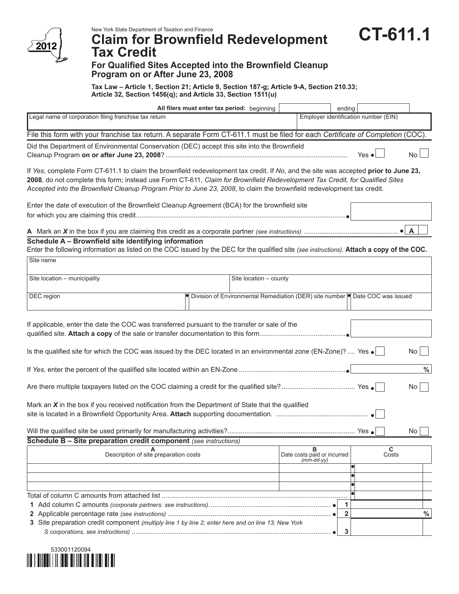

**Program on or After June 23, 2008**

## **Claim for Brownfield Redevelopment**

**CT-611.1**

 $\overline{a}$ 

## **Tax Credit For Qualified Sites Accepted into the Brownfield Cleanup**

**Tax Law – Article 1, Section 21; Article 9, Section 187-g; Article 9-A, Section 210.33; Article 32, Section 1456(q); and Article 33, Section 1511(u)**

| All filers must enter tax period: beginning                                                                                                                                                                                                                                                                                                                                                   |                                                                                 | ending                                           |                                      |                 |  |  |
|-----------------------------------------------------------------------------------------------------------------------------------------------------------------------------------------------------------------------------------------------------------------------------------------------------------------------------------------------------------------------------------------------|---------------------------------------------------------------------------------|--------------------------------------------------|--------------------------------------|-----------------|--|--|
| Legal name of corporation filing franchise tax return                                                                                                                                                                                                                                                                                                                                         |                                                                                 |                                                  | Employer identification number (EIN) |                 |  |  |
| File this form with your franchise tax return. A separate Form CT-611.1 must be filed for each Certificate of Completion (COC).                                                                                                                                                                                                                                                               |                                                                                 |                                                  |                                      |                 |  |  |
| Did the Department of Environmental Conservation (DEC) accept this site into the Brownfield<br>Yes $\bullet$                                                                                                                                                                                                                                                                                  |                                                                                 |                                                  |                                      | No              |  |  |
| If Yes, complete Form CT-611.1 to claim the brownfield redevelopment tax credit. If No, and the site was accepted prior to June 23,<br>2008, do not complete this form; instead use Form CT-611, Claim for Brownfield Redevelopment Tax Credit, for Qualified Sites<br>Accepted into the Brownfield Cleanup Program Prior to June 23, 2008, to claim the brownfield redevelopment tax credit. |                                                                                 |                                                  |                                      |                 |  |  |
| Enter the date of execution of the Brownfield Cleanup Agreement (BCA) for the brownfield site                                                                                                                                                                                                                                                                                                 |                                                                                 |                                                  |                                      |                 |  |  |
|                                                                                                                                                                                                                                                                                                                                                                                               |                                                                                 |                                                  |                                      |                 |  |  |
| Schedule A - Brownfield site identifying information<br>Enter the following information as listed on the COC issued by the DEC for the qualified site (see instructions). Attach a copy of the COC.                                                                                                                                                                                           |                                                                                 |                                                  |                                      |                 |  |  |
| Site name                                                                                                                                                                                                                                                                                                                                                                                     |                                                                                 |                                                  |                                      |                 |  |  |
| Site location - municipality                                                                                                                                                                                                                                                                                                                                                                  | Site location - county                                                          |                                                  |                                      |                 |  |  |
| DEC region                                                                                                                                                                                                                                                                                                                                                                                    | · Division of Environmental Remediation (DER) site number   Date COC was issued |                                                  |                                      |                 |  |  |
| If applicable, enter the date the COC was transferred pursuant to the transfer or sale of the                                                                                                                                                                                                                                                                                                 |                                                                                 |                                                  |                                      |                 |  |  |
| Is the qualified site for which the COC was issued by the DEC located in an environmental zone (EN-Zone)?  Yes $\bullet$                                                                                                                                                                                                                                                                      |                                                                                 |                                                  |                                      | No <sub>1</sub> |  |  |
| $\%$                                                                                                                                                                                                                                                                                                                                                                                          |                                                                                 |                                                  |                                      |                 |  |  |
| No <sub>1</sub>                                                                                                                                                                                                                                                                                                                                                                               |                                                                                 |                                                  |                                      |                 |  |  |
| Mark an $X$ in the box if you received notification from the Department of State that the qualified                                                                                                                                                                                                                                                                                           |                                                                                 |                                                  |                                      |                 |  |  |
|                                                                                                                                                                                                                                                                                                                                                                                               |                                                                                 |                                                  |                                      | No              |  |  |
| Schedule B - Site preparation credit component (see instructions)                                                                                                                                                                                                                                                                                                                             |                                                                                 |                                                  |                                      |                 |  |  |
| Description of site preparation costs                                                                                                                                                                                                                                                                                                                                                         |                                                                                 | в<br>Date costs paid or incurred<br>$(mm-dd-yy)$ |                                      | C<br>Costs      |  |  |
|                                                                                                                                                                                                                                                                                                                                                                                               |                                                                                 |                                                  |                                      |                 |  |  |
|                                                                                                                                                                                                                                                                                                                                                                                               |                                                                                 |                                                  |                                      |                 |  |  |
|                                                                                                                                                                                                                                                                                                                                                                                               |                                                                                 |                                                  |                                      |                 |  |  |
|                                                                                                                                                                                                                                                                                                                                                                                               |                                                                                 |                                                  | 1                                    |                 |  |  |
|                                                                                                                                                                                                                                                                                                                                                                                               |                                                                                 |                                                  | $\mathbf{2}$                         | $\%$            |  |  |
| 3 Site preparation credit component (multiply line 1 by line 2; enter here and on line 13; New York                                                                                                                                                                                                                                                                                           |                                                                                 |                                                  | 3                                    |                 |  |  |
|                                                                                                                                                                                                                                                                                                                                                                                               |                                                                                 |                                                  |                                      |                 |  |  |

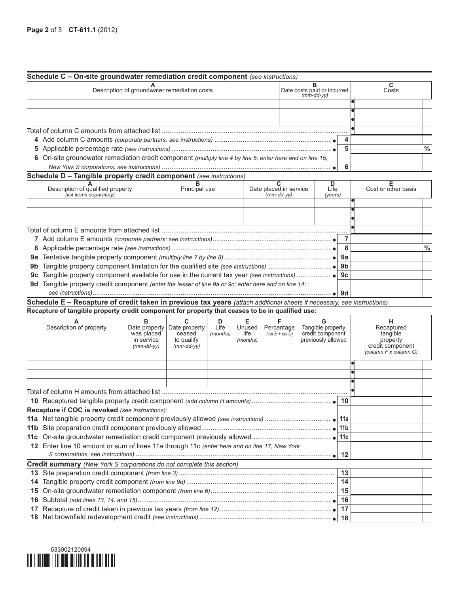| C<br>в<br>Description of groundwater remediation costs<br>Date costs paid or incurred<br>(mm-dd-yy)<br>Costs<br>4<br>5<br>6 On-site groundwater remediation credit component (multiply line 4 by line 5; enter here and on line 15;<br>6<br>Schedule D - Tangible property credit component (see instructions)<br>$\overline{c}$<br>D<br>Е<br>Description of qualified property<br>Date placed in service<br>Cost or other basis<br>Principal use<br>Life<br>(list items separately)<br>$(mm$ -dd-yy $)$<br>(years)<br>7<br>8<br>9b<br>9c<br>9d Tangible property credit component (enter the lesser of line 9a or 9c; enter here and on line 14;<br>Schedule E - Recapture of credit taken in previous tax years (attach additional sheets if necessary, see instructions)<br>Recapture of tangible property credit component for property that ceases to be in qualified use:<br>Е<br>F<br>в<br>C<br>D<br>G<br>н<br>Tangible property<br>Description of property<br>Life<br>Unused<br>Percentage<br>Date property<br>Date property<br>Recaptured<br>was placed<br>credit component<br>ceased<br>life<br>$(col E + col D)$<br>tangible<br>(months)<br>previously allowed<br>to qualify<br>in service<br>property<br>(months)<br>credit component<br>$(mm$ -dd-yy $)$<br>$(mm$ -dd-yy $)$<br>(column F x column G)<br>10<br>Recapture if COC is revoked (see instructions):<br>11c<br>12 Enter line 10 amount or sum of lines 11a through 11c (enter here and on line 17; New York<br>12<br>Credit summary (New York S corporations do not complete this section)<br>13<br>14<br>14<br>15<br>15<br>16<br>16<br>17<br>17 |  | Schedule C - On-site groundwater remediation credit component (see instructions) |  |  |  |  |  |  |               |
|-------------------------------------------------------------------------------------------------------------------------------------------------------------------------------------------------------------------------------------------------------------------------------------------------------------------------------------------------------------------------------------------------------------------------------------------------------------------------------------------------------------------------------------------------------------------------------------------------------------------------------------------------------------------------------------------------------------------------------------------------------------------------------------------------------------------------------------------------------------------------------------------------------------------------------------------------------------------------------------------------------------------------------------------------------------------------------------------------------------------------------------------------------------------------------------------------------------------------------------------------------------------------------------------------------------------------------------------------------------------------------------------------------------------------------------------------------------------------------------------------------------------------------------------------------------------------------------------------------------------------|--|----------------------------------------------------------------------------------|--|--|--|--|--|--|---------------|
|                                                                                                                                                                                                                                                                                                                                                                                                                                                                                                                                                                                                                                                                                                                                                                                                                                                                                                                                                                                                                                                                                                                                                                                                                                                                                                                                                                                                                                                                                                                                                                                                                         |  |                                                                                  |  |  |  |  |  |  |               |
|                                                                                                                                                                                                                                                                                                                                                                                                                                                                                                                                                                                                                                                                                                                                                                                                                                                                                                                                                                                                                                                                                                                                                                                                                                                                                                                                                                                                                                                                                                                                                                                                                         |  |                                                                                  |  |  |  |  |  |  |               |
|                                                                                                                                                                                                                                                                                                                                                                                                                                                                                                                                                                                                                                                                                                                                                                                                                                                                                                                                                                                                                                                                                                                                                                                                                                                                                                                                                                                                                                                                                                                                                                                                                         |  |                                                                                  |  |  |  |  |  |  |               |
|                                                                                                                                                                                                                                                                                                                                                                                                                                                                                                                                                                                                                                                                                                                                                                                                                                                                                                                                                                                                                                                                                                                                                                                                                                                                                                                                                                                                                                                                                                                                                                                                                         |  |                                                                                  |  |  |  |  |  |  |               |
|                                                                                                                                                                                                                                                                                                                                                                                                                                                                                                                                                                                                                                                                                                                                                                                                                                                                                                                                                                                                                                                                                                                                                                                                                                                                                                                                                                                                                                                                                                                                                                                                                         |  |                                                                                  |  |  |  |  |  |  |               |
|                                                                                                                                                                                                                                                                                                                                                                                                                                                                                                                                                                                                                                                                                                                                                                                                                                                                                                                                                                                                                                                                                                                                                                                                                                                                                                                                                                                                                                                                                                                                                                                                                         |  |                                                                                  |  |  |  |  |  |  |               |
|                                                                                                                                                                                                                                                                                                                                                                                                                                                                                                                                                                                                                                                                                                                                                                                                                                                                                                                                                                                                                                                                                                                                                                                                                                                                                                                                                                                                                                                                                                                                                                                                                         |  |                                                                                  |  |  |  |  |  |  | $\%$          |
|                                                                                                                                                                                                                                                                                                                                                                                                                                                                                                                                                                                                                                                                                                                                                                                                                                                                                                                                                                                                                                                                                                                                                                                                                                                                                                                                                                                                                                                                                                                                                                                                                         |  |                                                                                  |  |  |  |  |  |  |               |
|                                                                                                                                                                                                                                                                                                                                                                                                                                                                                                                                                                                                                                                                                                                                                                                                                                                                                                                                                                                                                                                                                                                                                                                                                                                                                                                                                                                                                                                                                                                                                                                                                         |  |                                                                                  |  |  |  |  |  |  |               |
|                                                                                                                                                                                                                                                                                                                                                                                                                                                                                                                                                                                                                                                                                                                                                                                                                                                                                                                                                                                                                                                                                                                                                                                                                                                                                                                                                                                                                                                                                                                                                                                                                         |  |                                                                                  |  |  |  |  |  |  |               |
|                                                                                                                                                                                                                                                                                                                                                                                                                                                                                                                                                                                                                                                                                                                                                                                                                                                                                                                                                                                                                                                                                                                                                                                                                                                                                                                                                                                                                                                                                                                                                                                                                         |  |                                                                                  |  |  |  |  |  |  |               |
|                                                                                                                                                                                                                                                                                                                                                                                                                                                                                                                                                                                                                                                                                                                                                                                                                                                                                                                                                                                                                                                                                                                                                                                                                                                                                                                                                                                                                                                                                                                                                                                                                         |  |                                                                                  |  |  |  |  |  |  |               |
|                                                                                                                                                                                                                                                                                                                                                                                                                                                                                                                                                                                                                                                                                                                                                                                                                                                                                                                                                                                                                                                                                                                                                                                                                                                                                                                                                                                                                                                                                                                                                                                                                         |  |                                                                                  |  |  |  |  |  |  |               |
|                                                                                                                                                                                                                                                                                                                                                                                                                                                                                                                                                                                                                                                                                                                                                                                                                                                                                                                                                                                                                                                                                                                                                                                                                                                                                                                                                                                                                                                                                                                                                                                                                         |  |                                                                                  |  |  |  |  |  |  |               |
|                                                                                                                                                                                                                                                                                                                                                                                                                                                                                                                                                                                                                                                                                                                                                                                                                                                                                                                                                                                                                                                                                                                                                                                                                                                                                                                                                                                                                                                                                                                                                                                                                         |  |                                                                                  |  |  |  |  |  |  |               |
|                                                                                                                                                                                                                                                                                                                                                                                                                                                                                                                                                                                                                                                                                                                                                                                                                                                                                                                                                                                                                                                                                                                                                                                                                                                                                                                                                                                                                                                                                                                                                                                                                         |  |                                                                                  |  |  |  |  |  |  |               |
|                                                                                                                                                                                                                                                                                                                                                                                                                                                                                                                                                                                                                                                                                                                                                                                                                                                                                                                                                                                                                                                                                                                                                                                                                                                                                                                                                                                                                                                                                                                                                                                                                         |  |                                                                                  |  |  |  |  |  |  |               |
|                                                                                                                                                                                                                                                                                                                                                                                                                                                                                                                                                                                                                                                                                                                                                                                                                                                                                                                                                                                                                                                                                                                                                                                                                                                                                                                                                                                                                                                                                                                                                                                                                         |  |                                                                                  |  |  |  |  |  |  | $\frac{0}{0}$ |
|                                                                                                                                                                                                                                                                                                                                                                                                                                                                                                                                                                                                                                                                                                                                                                                                                                                                                                                                                                                                                                                                                                                                                                                                                                                                                                                                                                                                                                                                                                                                                                                                                         |  |                                                                                  |  |  |  |  |  |  |               |
|                                                                                                                                                                                                                                                                                                                                                                                                                                                                                                                                                                                                                                                                                                                                                                                                                                                                                                                                                                                                                                                                                                                                                                                                                                                                                                                                                                                                                                                                                                                                                                                                                         |  |                                                                                  |  |  |  |  |  |  |               |
|                                                                                                                                                                                                                                                                                                                                                                                                                                                                                                                                                                                                                                                                                                                                                                                                                                                                                                                                                                                                                                                                                                                                                                                                                                                                                                                                                                                                                                                                                                                                                                                                                         |  |                                                                                  |  |  |  |  |  |  |               |
|                                                                                                                                                                                                                                                                                                                                                                                                                                                                                                                                                                                                                                                                                                                                                                                                                                                                                                                                                                                                                                                                                                                                                                                                                                                                                                                                                                                                                                                                                                                                                                                                                         |  |                                                                                  |  |  |  |  |  |  |               |
|                                                                                                                                                                                                                                                                                                                                                                                                                                                                                                                                                                                                                                                                                                                                                                                                                                                                                                                                                                                                                                                                                                                                                                                                                                                                                                                                                                                                                                                                                                                                                                                                                         |  |                                                                                  |  |  |  |  |  |  |               |
|                                                                                                                                                                                                                                                                                                                                                                                                                                                                                                                                                                                                                                                                                                                                                                                                                                                                                                                                                                                                                                                                                                                                                                                                                                                                                                                                                                                                                                                                                                                                                                                                                         |  |                                                                                  |  |  |  |  |  |  |               |
|                                                                                                                                                                                                                                                                                                                                                                                                                                                                                                                                                                                                                                                                                                                                                                                                                                                                                                                                                                                                                                                                                                                                                                                                                                                                                                                                                                                                                                                                                                                                                                                                                         |  |                                                                                  |  |  |  |  |  |  |               |
|                                                                                                                                                                                                                                                                                                                                                                                                                                                                                                                                                                                                                                                                                                                                                                                                                                                                                                                                                                                                                                                                                                                                                                                                                                                                                                                                                                                                                                                                                                                                                                                                                         |  |                                                                                  |  |  |  |  |  |  |               |
|                                                                                                                                                                                                                                                                                                                                                                                                                                                                                                                                                                                                                                                                                                                                                                                                                                                                                                                                                                                                                                                                                                                                                                                                                                                                                                                                                                                                                                                                                                                                                                                                                         |  |                                                                                  |  |  |  |  |  |  |               |
|                                                                                                                                                                                                                                                                                                                                                                                                                                                                                                                                                                                                                                                                                                                                                                                                                                                                                                                                                                                                                                                                                                                                                                                                                                                                                                                                                                                                                                                                                                                                                                                                                         |  |                                                                                  |  |  |  |  |  |  |               |
|                                                                                                                                                                                                                                                                                                                                                                                                                                                                                                                                                                                                                                                                                                                                                                                                                                                                                                                                                                                                                                                                                                                                                                                                                                                                                                                                                                                                                                                                                                                                                                                                                         |  |                                                                                  |  |  |  |  |  |  |               |
|                                                                                                                                                                                                                                                                                                                                                                                                                                                                                                                                                                                                                                                                                                                                                                                                                                                                                                                                                                                                                                                                                                                                                                                                                                                                                                                                                                                                                                                                                                                                                                                                                         |  |                                                                                  |  |  |  |  |  |  |               |
|                                                                                                                                                                                                                                                                                                                                                                                                                                                                                                                                                                                                                                                                                                                                                                                                                                                                                                                                                                                                                                                                                                                                                                                                                                                                                                                                                                                                                                                                                                                                                                                                                         |  |                                                                                  |  |  |  |  |  |  |               |
|                                                                                                                                                                                                                                                                                                                                                                                                                                                                                                                                                                                                                                                                                                                                                                                                                                                                                                                                                                                                                                                                                                                                                                                                                                                                                                                                                                                                                                                                                                                                                                                                                         |  |                                                                                  |  |  |  |  |  |  |               |
|                                                                                                                                                                                                                                                                                                                                                                                                                                                                                                                                                                                                                                                                                                                                                                                                                                                                                                                                                                                                                                                                                                                                                                                                                                                                                                                                                                                                                                                                                                                                                                                                                         |  |                                                                                  |  |  |  |  |  |  |               |
|                                                                                                                                                                                                                                                                                                                                                                                                                                                                                                                                                                                                                                                                                                                                                                                                                                                                                                                                                                                                                                                                                                                                                                                                                                                                                                                                                                                                                                                                                                                                                                                                                         |  |                                                                                  |  |  |  |  |  |  |               |
|                                                                                                                                                                                                                                                                                                                                                                                                                                                                                                                                                                                                                                                                                                                                                                                                                                                                                                                                                                                                                                                                                                                                                                                                                                                                                                                                                                                                                                                                                                                                                                                                                         |  |                                                                                  |  |  |  |  |  |  |               |
|                                                                                                                                                                                                                                                                                                                                                                                                                                                                                                                                                                                                                                                                                                                                                                                                                                                                                                                                                                                                                                                                                                                                                                                                                                                                                                                                                                                                                                                                                                                                                                                                                         |  |                                                                                  |  |  |  |  |  |  |               |
|                                                                                                                                                                                                                                                                                                                                                                                                                                                                                                                                                                                                                                                                                                                                                                                                                                                                                                                                                                                                                                                                                                                                                                                                                                                                                                                                                                                                                                                                                                                                                                                                                         |  |                                                                                  |  |  |  |  |  |  |               |
|                                                                                                                                                                                                                                                                                                                                                                                                                                                                                                                                                                                                                                                                                                                                                                                                                                                                                                                                                                                                                                                                                                                                                                                                                                                                                                                                                                                                                                                                                                                                                                                                                         |  |                                                                                  |  |  |  |  |  |  |               |
|                                                                                                                                                                                                                                                                                                                                                                                                                                                                                                                                                                                                                                                                                                                                                                                                                                                                                                                                                                                                                                                                                                                                                                                                                                                                                                                                                                                                                                                                                                                                                                                                                         |  |                                                                                  |  |  |  |  |  |  |               |
|                                                                                                                                                                                                                                                                                                                                                                                                                                                                                                                                                                                                                                                                                                                                                                                                                                                                                                                                                                                                                                                                                                                                                                                                                                                                                                                                                                                                                                                                                                                                                                                                                         |  |                                                                                  |  |  |  |  |  |  |               |
|                                                                                                                                                                                                                                                                                                                                                                                                                                                                                                                                                                                                                                                                                                                                                                                                                                                                                                                                                                                                                                                                                                                                                                                                                                                                                                                                                                                                                                                                                                                                                                                                                         |  |                                                                                  |  |  |  |  |  |  |               |
|                                                                                                                                                                                                                                                                                                                                                                                                                                                                                                                                                                                                                                                                                                                                                                                                                                                                                                                                                                                                                                                                                                                                                                                                                                                                                                                                                                                                                                                                                                                                                                                                                         |  |                                                                                  |  |  |  |  |  |  |               |
|                                                                                                                                                                                                                                                                                                                                                                                                                                                                                                                                                                                                                                                                                                                                                                                                                                                                                                                                                                                                                                                                                                                                                                                                                                                                                                                                                                                                                                                                                                                                                                                                                         |  |                                                                                  |  |  |  |  |  |  |               |
|                                                                                                                                                                                                                                                                                                                                                                                                                                                                                                                                                                                                                                                                                                                                                                                                                                                                                                                                                                                                                                                                                                                                                                                                                                                                                                                                                                                                                                                                                                                                                                                                                         |  |                                                                                  |  |  |  |  |  |  |               |
|                                                                                                                                                                                                                                                                                                                                                                                                                                                                                                                                                                                                                                                                                                                                                                                                                                                                                                                                                                                                                                                                                                                                                                                                                                                                                                                                                                                                                                                                                                                                                                                                                         |  |                                                                                  |  |  |  |  |  |  |               |
|                                                                                                                                                                                                                                                                                                                                                                                                                                                                                                                                                                                                                                                                                                                                                                                                                                                                                                                                                                                                                                                                                                                                                                                                                                                                                                                                                                                                                                                                                                                                                                                                                         |  |                                                                                  |  |  |  |  |  |  |               |
|                                                                                                                                                                                                                                                                                                                                                                                                                                                                                                                                                                                                                                                                                                                                                                                                                                                                                                                                                                                                                                                                                                                                                                                                                                                                                                                                                                                                                                                                                                                                                                                                                         |  |                                                                                  |  |  |  |  |  |  |               |
|                                                                                                                                                                                                                                                                                                                                                                                                                                                                                                                                                                                                                                                                                                                                                                                                                                                                                                                                                                                                                                                                                                                                                                                                                                                                                                                                                                                                                                                                                                                                                                                                                         |  |                                                                                  |  |  |  |  |  |  |               |
|                                                                                                                                                                                                                                                                                                                                                                                                                                                                                                                                                                                                                                                                                                                                                                                                                                                                                                                                                                                                                                                                                                                                                                                                                                                                                                                                                                                                                                                                                                                                                                                                                         |  |                                                                                  |  |  |  |  |  |  |               |